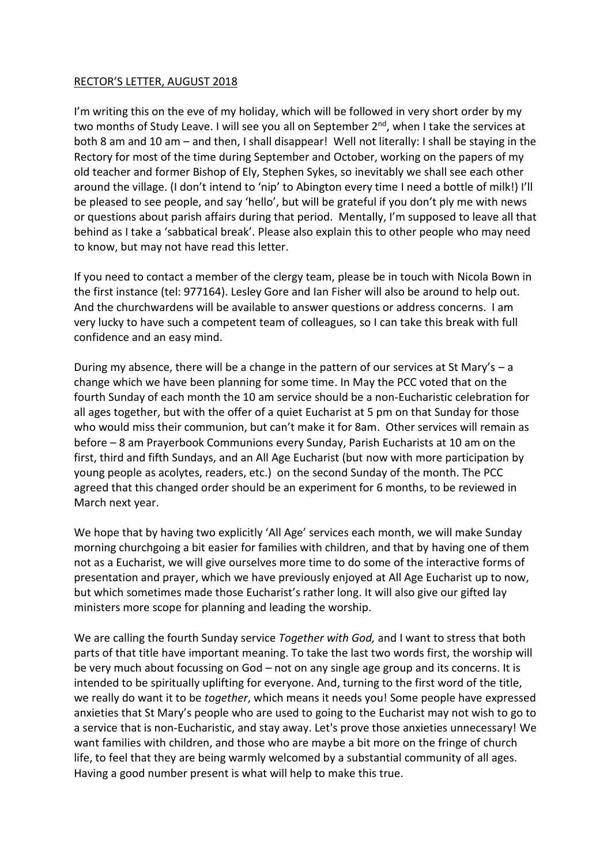## RECTOR'S LETTER, AUGUST 2018

I'm writing this on the eve of my holiday, which will be followed in very short order by my two months of Study Leave. I will see you all on September  $2^{nd}$ , when I take the services at both 8 am and 10 am – and then, I shall disappear! Well not literally: I shall be staying in the Rectory for most of the time during September and October, working on the papers of my old teacher and former Bishop of Ely, Stephen Sykes, so inevitably we shall see each other around the village. (I don't intend to 'nip' to Abington every time I need a bottle of milk!) I'll be pleased to see people, and say 'hello', but will be grateful if you don't ply me with news or questions about parish affairs during that period. Mentally, I'm supposed to leave all that behind as I take a 'sabbatical break'. Please also explain this to other people who may need to know, but may not have read this letter.

If you need to contact a member of the clergy team, please be in touch with Nicola Bown in the first instance (tel: 977164). Lesley Gore and Ian Fisher will also be around to help out. And the churchwardens will be available to answer questions or address concerns. I am very lucky to have such a competent team of colleagues, so I can take this break with full confidence and an easy mind.

During my absence, there will be a change in the pattern of our services at St Mary's – a change which we have been planning for some time. In May the PCC voted that on the fourth Sunday of each month the 10 am service should be a non-Eucharistic celebration for all ages together, but with the offer of a quiet Eucharist at 5 pm on that Sunday for those who would miss their communion, but can't make it for 8am. Other services will remain as before – 8 am Prayerbook Communions every Sunday, Parish Eucharists at 10 am on the first, third and fifth Sundays, and an All Age Eucharist (but now with more participation by young people as acolytes, readers, etc.) on the second Sunday of the month. The PCC agreed that this changed order should be an experiment for 6 months, to be reviewed in March next year.

We hope that by having two explicitly 'All Age' services each month, we will make Sunday morning churchgoing a bit easier for families with children, and that by having one of them not as a Eucharist, we will give ourselves more time to do some of the interactive forms of presentation and prayer, which we have previously enjoyed at All Age Eucharist up to now, but which sometimes made those Eucharist's rather long. It will also give our gifted lay ministers more scope for planning and leading the worship.

We are calling the fourth Sunday service *Together with God,* and I want to stress that both parts of that title have important meaning. To take the last two words first, the worship will be very much about focussing on God – not on any single age group and its concerns. It is intended to be spiritually uplifting for everyone. And, turning to the first word of the title, we really do want it to be *together*, which means it needs you! Some people have expressed anxieties that St Mary's people who are used to going to the Eucharist may not wish to go to a service that is non-Eucharistic, and stay away. Let's prove those anxieties unnecessary! We want families with children, and those who are maybe a bit more on the fringe of church life, to feel that they are being warmly welcomed by a substantial community of all ages. Having a good number present is what will help to make this true.